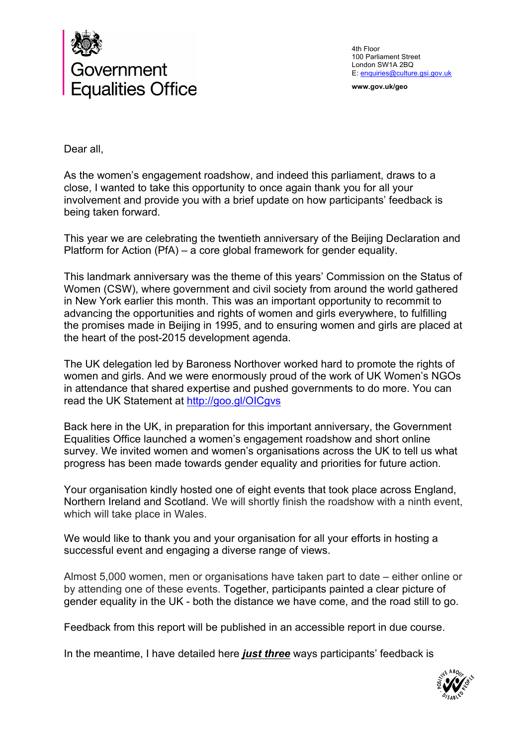

4th Floor 100 Parliament Street London SW1A 2BQ E: enquiries@culture.gsi.gov.uk

**www.gov.uk/geo**

Dear all,

As the women's engagement roadshow, and indeed this parliament, draws to a close, I wanted to take this opportunity to once again thank you for all your involvement and provide you with a brief update on how participants' feedback is being taken forward.

This year we are celebrating the twentieth anniversary of the Beijing Declaration and Platform for Action (PfA) – a core global framework for gender equality.

This landmark anniversary was the theme of this years' Commission on the Status of Women (CSW), where government and civil society from around the world gathered in New York earlier this month. This was an important opportunity to recommit to advancing the opportunities and rights of women and girls everywhere, to fulfilling the promises made in Beijing in 1995, and to ensuring women and girls are placed at the heart of the post-2015 development agenda.

The UK delegation led by Baroness Northover worked hard to promote the rights of women and girls. And we were enormously proud of the work of UK Women's NGOs in attendance that shared expertise and pushed governments to do more. You can read the UK Statement at http://goo.gl/OICgvs

Back here in the UK, in preparation for this important anniversary, the Government Equalities Office launched a women's engagement roadshow and short online survey. We invited women and women's organisations across the UK to tell us what progress has been made towards gender equality and priorities for future action.

Your organisation kindly hosted one of eight events that took place across England, Northern Ireland and Scotland. We will shortly finish the roadshow with a ninth event, which will take place in Wales.

We would like to thank you and your organisation for all your efforts in hosting a successful event and engaging a diverse range of views.

Almost 5,000 women, men or organisations have taken part to date – either online or by attending one of these events. Together, participants painted a clear picture of gender equality in the UK - both the distance we have come, and the road still to go.

Feedback from this report will be published in an accessible report in due course.

In the meantime, I have detailed here *just three* ways participants' feedback is